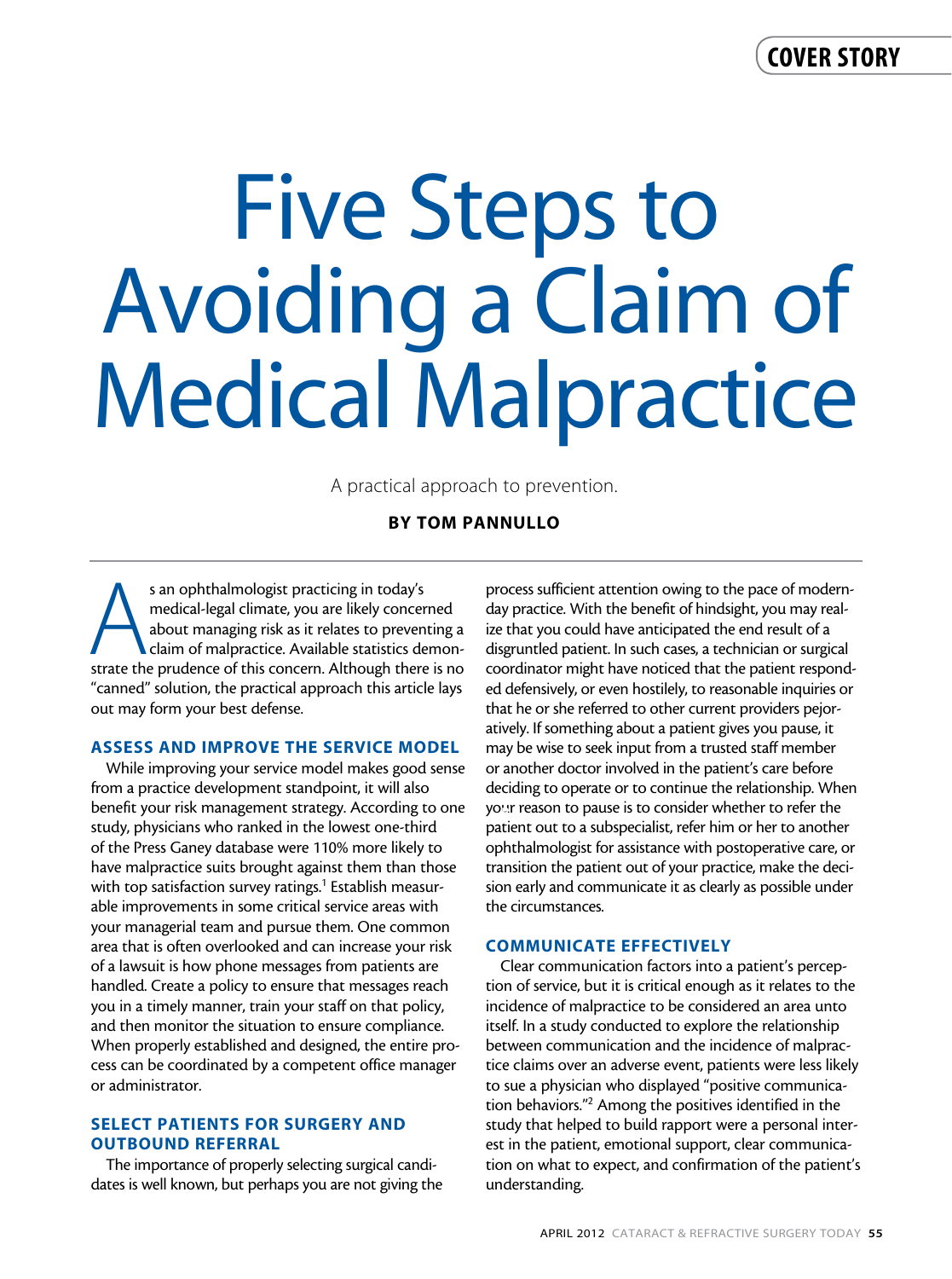# cover story

# Five Steps to Avoiding a Claim of Medical Malpractice

A practical approach to prevention.

# By Tom Pannullo

s an ophthalmologist practicing in today's<br>
medical-legal climate, you are likely concerned<br>
about managing risk as it relates to preventing a<br>
claim of malpractice. Available statistics demon-<br>
strate the prudence of this medical-legal climate, you are likely concerned about managing risk as it relates to preventing a claim of malpractice. Available statistics demon-"canned" solution, the practical approach this article lays out may form your best defense.

### ASSESS AND IMPROVE THE SERVICE MODEL

While improving your service model makes good sense from a practice development standpoint, it will also benefit your risk management strategy. According to one study, physicians who ranked in the lowest one-third of the Press Ganey database were 110% more likely to have malpractice suits brought against them than those with top satisfaction survey ratings.<sup>1</sup> Establish measurable improvements in some critical service areas with your managerial team and pursue them. One common area that is often overlooked and can increase your risk of a lawsuit is how phone messages from patients are handled. Create a policy to ensure that messages reach you in a timely manner, train your staff on that policy, and then monitor the situation to ensure compliance. When properly established and designed, the entire process can be coordinated by a competent office manager or administrator.

## SELECT PATIENTS FOR SURGERY AND OUTBOUND REFERRAL

The importance of properly selecting surgical candidates is well known, but perhaps you are not giving the process sufficient attention owing to the pace of modernday practice. With the benefit of hindsight, you may realize that you could have anticipated the end result of a disgruntled patient. In such cases, a technician or surgical coordinator might have noticed that the patient responded defensively, or even hostilely, to reasonable inquiries or that he or she referred to other current providers pejoratively. If something about a patient gives you pause, it may be wise to seek input from a trusted staff member or another doctor involved in the patient's care before deciding to operate or to continue the relationship. When your reason to pause is to consider whether to refer the patient out to a subspecialist, refer him or her to another ophthalmologist for assistance with postoperative care, or transition the patient out of your practice, make the decision early and communicate it as clearly as possible under the circumstances.

#### COMMUNICATE EFFECTIVELY

Clear communication factors into a patient's perception of service, but it is critical enough as it relates to the incidence of malpractice to be considered an area unto itself. In a study conducted to explore the relationship between communication and the incidence of malpractice claims over an adverse event, patients were less likely to sue a physician who displayed "positive communication behaviors."2 Among the positives identified in the study that helped to build rapport were a personal interest in the patient, emotional support, clear communication on what to expect, and confirmation of the patient's understanding.